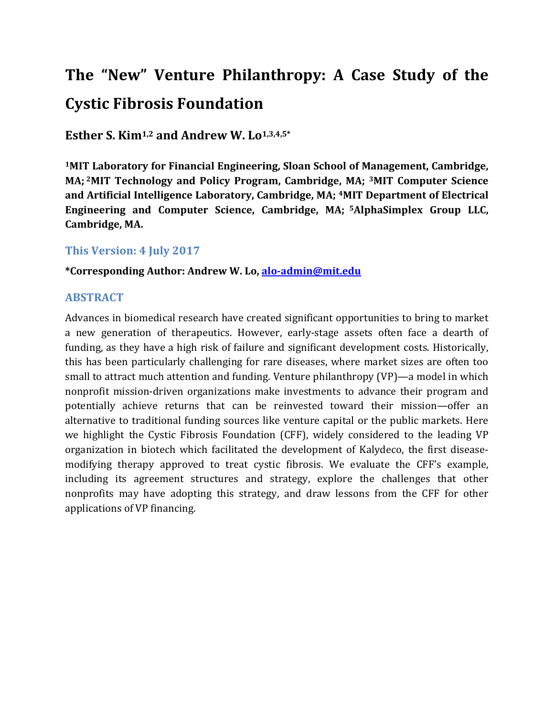# **The "New" Venture Philanthropy: A Case Study of the Cystic Fibrosis Foundation**

**Esther S. Kim1,2 and Andrew W. Lo1,3,4,5\***

**1MIT Laboratory for Financial Engineering, Sloan School of Management, Cambridge, MA; 2MIT Technology and Policy Program, Cambridge, MA; 3MIT Computer Science and Artificial Intelligence Laboratory, Cambridge, MA; 4MIT Department of Electrical Engineering and Computer Science, Cambridge, MA; 5AlphaSimplex Group LLC, Cambridge, MA.**

### **This Version: 4 July 2017**

**\*Corresponding Author: Andrew W. Lo, alo-admin@mit.edu**

### **ABSTRACT**

Advances in biomedical research have created significant opportunities to bring to market a new generation of therapeutics. However, early-stage assets often face a dearth of funding, as they have a high risk of failure and significant development costs. Historically, this has been particularly challenging for rare diseases, where market sizes are often too small to attract much attention and funding. Venture philanthropy (VP)—a model in which nonprofit mission-driven organizations make investments to advance their program and potentially achieve returns that can be reinvested toward their mission—offer an alternative to traditional funding sources like venture capital or the public markets. Here we highlight the Cystic Fibrosis Foundation (CFF), widely considered to the leading VP organization in biotech which facilitated the development of Kalydeco, the first diseasemodifying therapy approved to treat cystic fibrosis. We evaluate the CFF's example, including its agreement structures and strategy, explore the challenges that other nonprofits may have adopting this strategy, and draw lessons from the CFF for other applications of VP financing.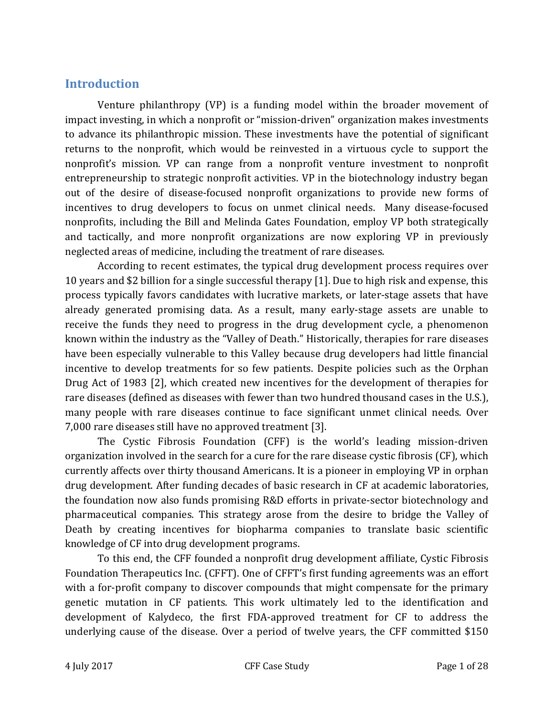### **Introduction**

Venture philanthropy (VP) is a funding model within the broader movement of impact investing, in which a nonprofit or "mission-driven" organization makes investments to advance its philanthropic mission. These investments have the potential of significant returns to the nonprofit, which would be reinvested in a virtuous cycle to support the nonprofit's mission. VP can range from a nonprofit venture investment to nonprofit entrepreneurship to strategic nonprofit activities. VP in the biotechnology industry began out of the desire of disease-focused nonprofit organizations to provide new forms of incentives to drug developers to focus on unmet clinical needs. Many disease-focused nonprofits, including the Bill and Melinda Gates Foundation, employ VP both strategically and tactically, and more nonprofit organizations are now exploring VP in previously neglected areas of medicine, including the treatment of rare diseases.

According to recent estimates, the typical drug development process requires over 10 years and \$2 billion for a single successful therapy [1]. Due to high risk and expense, this process typically favors candidates with lucrative markets, or later-stage assets that have already generated promising data. As a result, many early-stage assets are unable to receive the funds they need to progress in the drug development cycle, a phenomenon known within the industry as the "Valley of Death." Historically, therapies for rare diseases have been especially vulnerable to this Valley because drug developers had little financial incentive to develop treatments for so few patients. Despite policies such as the Orphan Drug Act of 1983 [2], which created new incentives for the development of therapies for rare diseases (defined as diseases with fewer than two hundred thousand cases in the U.S.), many people with rare diseases continue to face significant unmet clinical needs. Over 7,000 rare diseases still have no approved treatment [3].

The Cystic Fibrosis Foundation (CFF) is the world's leading mission-driven organization involved in the search for a cure for the rare disease cystic fibrosis (CF), which currently affects over thirty thousand Americans. It is a pioneer in employing VP in orphan drug development. After funding decades of basic research in CF at academic laboratories, the foundation now also funds promising R&D efforts in private-sector biotechnology and pharmaceutical companies. This strategy arose from the desire to bridge the Valley of Death by creating incentives for biopharma companies to translate basic scientific knowledge of CF into drug development programs.

To this end, the CFF founded a nonprofit drug development affiliate, Cystic Fibrosis Foundation Therapeutics Inc. (CFFT). One of CFFT's first funding agreements was an effort with a for-profit company to discover compounds that might compensate for the primary genetic mutation in CF patients. This work ultimately led to the identification and development of Kalydeco, the first FDA-approved treatment for CF to address the underlying cause of the disease. Over a period of twelve years, the CFF committed \$150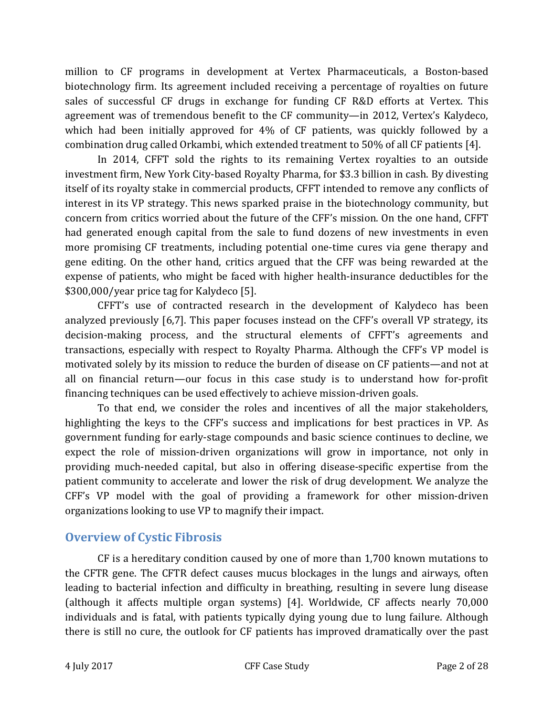million to CF programs in development at Vertex Pharmaceuticals, a Boston-based biotechnology firm. Its agreement included receiving a percentage of royalties on future sales of successful CF drugs in exchange for funding CF R&D efforts at Vertex. This agreement was of tremendous benefit to the CF community—in 2012, Vertex's Kalydeco, which had been initially approved for 4% of CF patients, was quickly followed by a combination drug called Orkambi, which extended treatment to 50% of all CF patients [4].

In 2014, CFFT sold the rights to its remaining Vertex royalties to an outside investment firm, New York City-based Royalty Pharma, for \$3.3 billion in cash. By divesting itself of its royalty stake in commercial products, CFFT intended to remove any conflicts of interest in its VP strategy. This news sparked praise in the biotechnology community, but concern from critics worried about the future of the CFF's mission. On the one hand, CFFT had generated enough capital from the sale to fund dozens of new investments in even more promising CF treatments, including potential one-time cures via gene therapy and gene editing. On the other hand, critics argued that the CFF was being rewarded at the expense of patients, who might be faced with higher health-insurance deductibles for the \$300,000/year price tag for Kalydeco [5].

CFFT's use of contracted research in the development of Kalydeco has been analyzed previously [6,7]. This paper focuses instead on the CFF's overall VP strategy, its decision-making process, and the structural elements of CFFT's agreements and transactions, especially with respect to Royalty Pharma. Although the CFF's VP model is motivated solely by its mission to reduce the burden of disease on CF patients—and not at all on financial return—our focus in this case study is to understand how for-profit financing techniques can be used effectively to achieve mission-driven goals.

To that end, we consider the roles and incentives of all the major stakeholders, highlighting the keys to the CFF's success and implications for best practices in VP. As government funding for early-stage compounds and basic science continues to decline, we expect the role of mission-driven organizations will grow in importance, not only in providing much-needed capital, but also in offering disease-specific expertise from the patient community to accelerate and lower the risk of drug development. We analyze the CFF's VP model with the goal of providing a framework for other mission-driven organizations looking to use VP to magnify their impact.

### **Overview of Cystic Fibrosis**

CF is a hereditary condition caused by one of more than 1,700 known mutations to the CFTR gene. The CFTR defect causes mucus blockages in the lungs and airways, often leading to bacterial infection and difficulty in breathing, resulting in severe lung disease (although it affects multiple organ systems) [4]. Worldwide, CF affects nearly 70,000 individuals and is fatal, with patients typically dying young due to lung failure. Although there is still no cure, the outlook for CF patients has improved dramatically over the past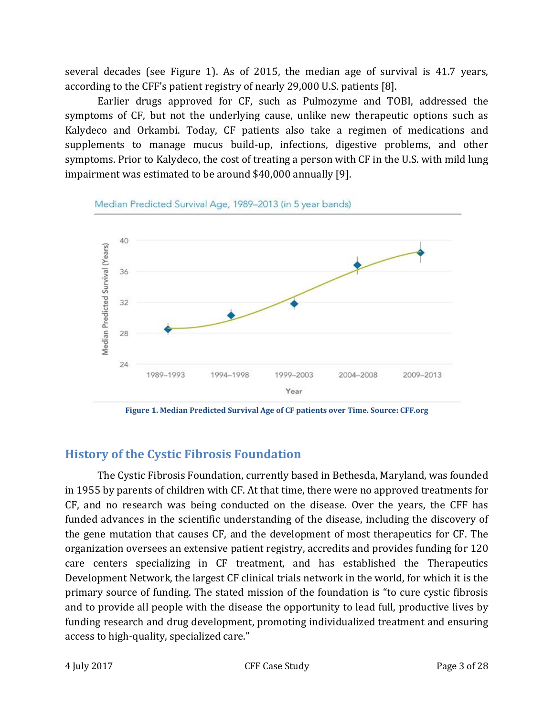several decades (see Figure 1). As of 2015, the median age of survival is 41.7 years, according to the CFF's patient registry of nearly 29,000 U.S. patients [8].

Earlier drugs approved for CF, such as Pulmozyme and TOBI, addressed the symptoms of CF, but not the underlying cause, unlike new therapeutic options such as Kalydeco and Orkambi. Today, CF patients also take a regimen of medications and supplements to manage mucus build-up, infections, digestive problems, and other symptoms. Prior to Kalydeco, the cost of treating a person with CF in the U.S. with mild lung impairment was estimated to be around \$40,000 annually [9].



**Figure 1. Median Predicted Survival Age of CF patients over Time. Source: CFF.org**

## **History of the Cystic Fibrosis Foundation**

The Cystic Fibrosis Foundation, currently based in Bethesda, Maryland, was founded in 1955 by parents of children with CF. At that time, there were no approved treatments for CF, and no research was being conducted on the disease. Over the years, the CFF has funded advances in the scientific understanding of the disease, including the discovery of the gene mutation that causes CF, and the development of most therapeutics for CF. The organization oversees an extensive patient registry, accredits and provides funding for 120 care centers specializing in CF treatment, and has established the Therapeutics Development Network, the largest CF clinical trials network in the world, for which it is the primary source of funding. The stated mission of the foundation is "to cure cystic fibrosis and to provide all people with the disease the opportunity to lead full, productive lives by funding research and drug development, promoting individualized treatment and ensuring access to high-quality, specialized care."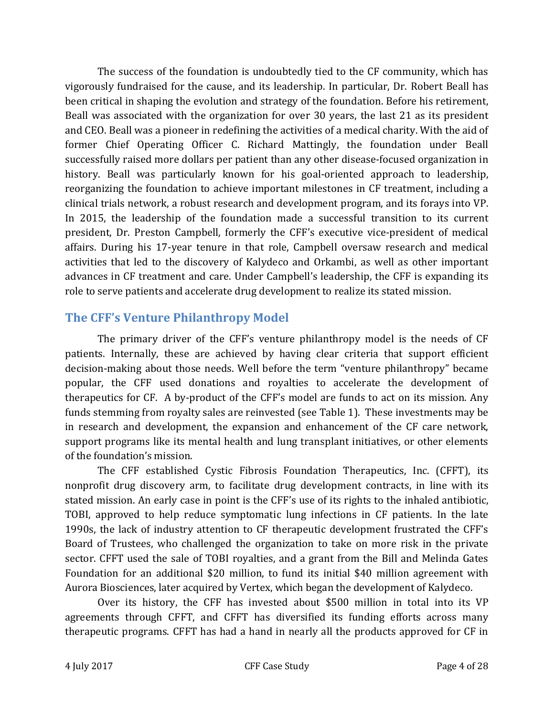The success of the foundation is undoubtedly tied to the CF community, which has vigorously fundraised for the cause, and its leadership. In particular, Dr. Robert Beall has been critical in shaping the evolution and strategy of the foundation. Before his retirement, Beall was associated with the organization for over 30 years, the last 21 as its president and CEO. Beall was a pioneer in redefining the activities of a medical charity. With the aid of former Chief Operating Officer C. Richard Mattingly, the foundation under Beall successfully raised more dollars per patient than any other disease-focused organization in history. Beall was particularly known for his goal-oriented approach to leadership, reorganizing the foundation to achieve important milestones in CF treatment, including a clinical trials network, a robust research and development program, and its forays into VP. In 2015, the leadership of the foundation made a successful transition to its current president, Dr. Preston Campbell, formerly the CFF's executive vice-president of medical affairs. During his 17-year tenure in that role, Campbell oversaw research and medical activities that led to the discovery of Kalydeco and Orkambi, as well as other important advances in CF treatment and care. Under Campbell's leadership, the CFF is expanding its role to serve patients and accelerate drug development to realize its stated mission.

### **The CFF's Venture Philanthropy Model**

The primary driver of the CFF's venture philanthropy model is the needs of CF patients. Internally, these are achieved by having clear criteria that support efficient decision-making about those needs. Well before the term "venture philanthropy" became popular, the CFF used donations and royalties to accelerate the development of therapeutics for CF. A by-product of the CFF's model are funds to act on its mission. Any funds stemming from royalty sales are reinvested (see Table 1). These investments may be in research and development, the expansion and enhancement of the CF care network, support programs like its mental health and lung transplant initiatives, or other elements of the foundation's mission.

The CFF established Cystic Fibrosis Foundation Therapeutics, Inc. (CFFT), its nonprofit drug discovery arm, to facilitate drug development contracts, in line with its stated mission. An early case in point is the CFF's use of its rights to the inhaled antibiotic, TOBI, approved to help reduce symptomatic lung infections in CF patients. In the late 1990s, the lack of industry attention to CF therapeutic development frustrated the CFF's Board of Trustees, who challenged the organization to take on more risk in the private sector. CFFT used the sale of TOBI royalties, and a grant from the Bill and Melinda Gates Foundation for an additional \$20 million, to fund its initial \$40 million agreement with Aurora Biosciences, later acquired by Vertex, which began the development of Kalydeco.

Over its history, the CFF has invested about \$500 million in total into its VP agreements through CFFT, and CFFT has diversified its funding efforts across many therapeutic programs. CFFT has had a hand in nearly all the products approved for CF in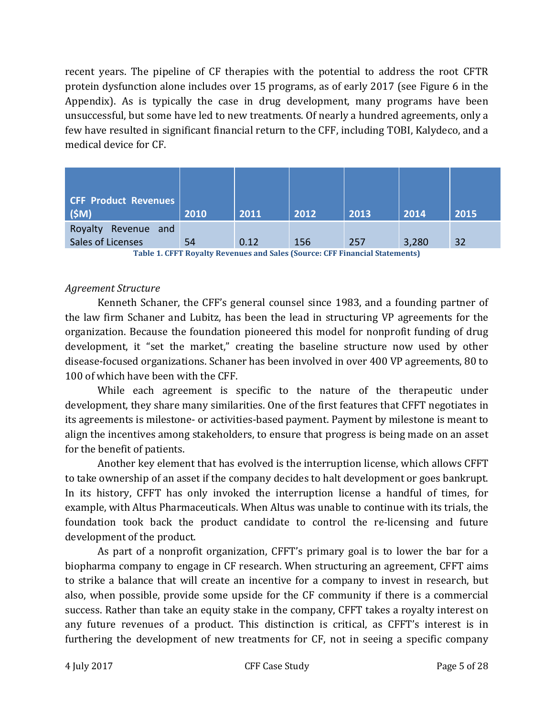recent years. The pipeline of CF therapies with the potential to address the root CFTR protein dysfunction alone includes over 15 programs, as of early 2017 (see Figure 6 in the Appendix). As is typically the case in drug development, many programs have been unsuccessful, but some have led to new treatments. Of nearly a hundred agreements, only a few have resulted in significant financial return to the CFF, including TOBI, Kalydeco, and a medical device for CF.

| <b>CFF Product Revenues</b> |      |      |      |      |       |      |
|-----------------------------|------|------|------|------|-------|------|
| (SM)                        | 2010 | 2011 | 2012 | 2013 | 2014  | 2015 |
| Royalty<br>Revenue and      |      |      |      |      |       |      |
| Sales of Licenses           | 54   | 0.12 | 156  | 257  | 3,280 | 32   |

**Table 1. CFFT Royalty Revenues and Sales (Source: CFF Financial Statements)**

#### *Agreement Structure*

Kenneth Schaner, the CFF's general counsel since 1983, and a founding partner of the law firm Schaner and Lubitz, has been the lead in structuring VP agreements for the organization. Because the foundation pioneered this model for nonprofit funding of drug development, it "set the market," creating the baseline structure now used by other disease-focused organizations. Schaner has been involved in over 400 VP agreements, 80 to 100 of which have been with the CFF.

While each agreement is specific to the nature of the therapeutic under development, they share many similarities. One of the first features that CFFT negotiates in its agreements is milestone- or activities-based payment. Payment by milestone is meant to align the incentives among stakeholders, to ensure that progress is being made on an asset for the benefit of patients.

Another key element that has evolved is the interruption license, which allows CFFT to take ownership of an asset if the company decides to halt development or goes bankrupt. In its history, CFFT has only invoked the interruption license a handful of times, for example, with Altus Pharmaceuticals. When Altus was unable to continue with its trials, the foundation took back the product candidate to control the re-licensing and future development of the product.

As part of a nonprofit organization, CFFT's primary goal is to lower the bar for a biopharma company to engage in CF research. When structuring an agreement, CFFT aims to strike a balance that will create an incentive for a company to invest in research, but also, when possible, provide some upside for the CF community if there is a commercial success. Rather than take an equity stake in the company, CFFT takes a royalty interest on any future revenues of a product. This distinction is critical, as CFFT's interest is in furthering the development of new treatments for CF, not in seeing a specific company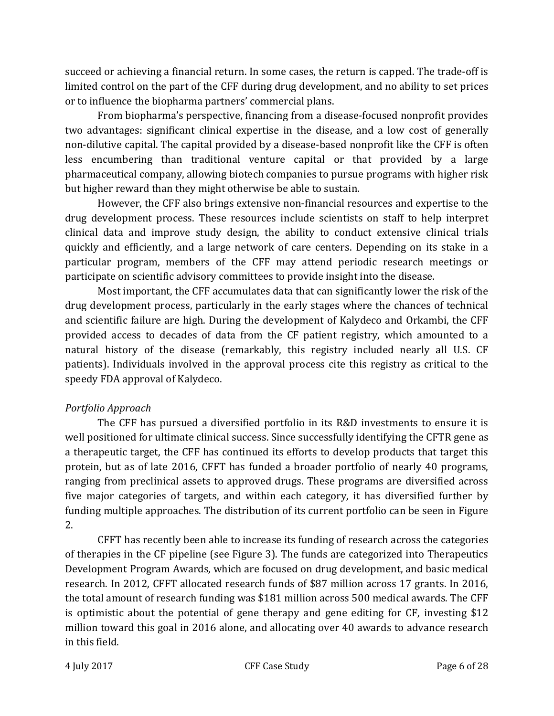succeed or achieving a financial return. In some cases, the return is capped. The trade-off is limited control on the part of the CFF during drug development, and no ability to set prices or to influence the biopharma partners' commercial plans.

From biopharma's perspective, financing from a disease-focused nonprofit provides two advantages: significant clinical expertise in the disease, and a low cost of generally non-dilutive capital. The capital provided by a disease-based nonprofit like the CFF is often less encumbering than traditional venture capital or that provided by a large pharmaceutical company, allowing biotech companies to pursue programs with higher risk but higher reward than they might otherwise be able to sustain.

However, the CFF also brings extensive non-financial resources and expertise to the drug development process. These resources include scientists on staff to help interpret clinical data and improve study design, the ability to conduct extensive clinical trials quickly and efficiently, and a large network of care centers. Depending on its stake in a particular program, members of the CFF may attend periodic research meetings or participate on scientific advisory committees to provide insight into the disease.

Most important, the CFF accumulates data that can significantly lower the risk of the drug development process, particularly in the early stages where the chances of technical and scientific failure are high. During the development of Kalydeco and Orkambi, the CFF provided access to decades of data from the CF patient registry, which amounted to a natural history of the disease (remarkably, this registry included nearly all U.S. CF patients). Individuals involved in the approval process cite this registry as critical to the speedy FDA approval of Kalydeco.

#### *Portfolio Approach*

The CFF has pursued a diversified portfolio in its R&D investments to ensure it is well positioned for ultimate clinical success. Since successfully identifying the CFTR gene as a therapeutic target, the CFF has continued its efforts to develop products that target this protein, but as of late 2016, CFFT has funded a broader portfolio of nearly 40 programs, ranging from preclinical assets to approved drugs. These programs are diversified across five major categories of targets, and within each category, it has diversified further by funding multiple approaches. The distribution of its current portfolio can be seen in Figure 2.

CFFT has recently been able to increase its funding of research across the categories of therapies in the CF pipeline (see Figure 3). The funds are categorized into Therapeutics Development Program Awards, which are focused on drug development, and basic medical research. In 2012, CFFT allocated research funds of \$87 million across 17 grants. In 2016, the total amount of research funding was \$181 million across 500 medical awards. The CFF is optimistic about the potential of gene therapy and gene editing for CF, investing \$12 million toward this goal in 2016 alone, and allocating over 40 awards to advance research in this field.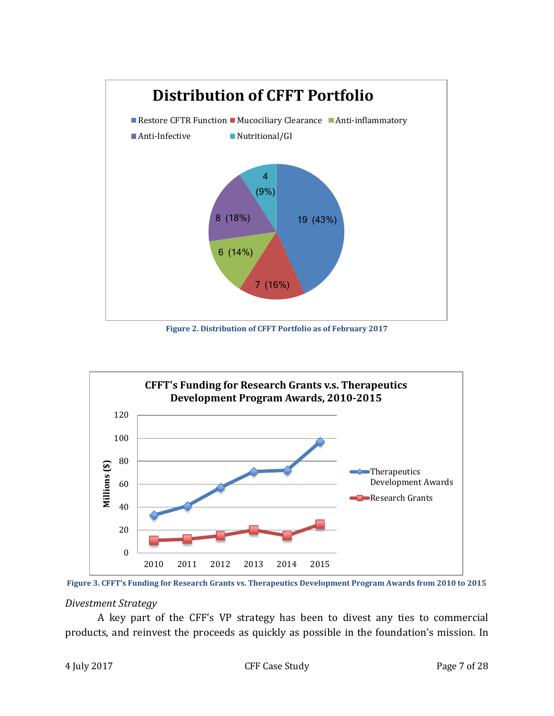

**Figure 2. Distribution of CFFT Portfolio as of February 2017**



**Figure 3. CFFT's Funding for Research Grants vs. Therapeutics Development Program Awards from 2010 to 2015**

*Divestment Strategy*

A key part of the CFF's VP strategy has been to divest any ties to commercial products, and reinvest the proceeds as quickly as possible in the foundation's mission. In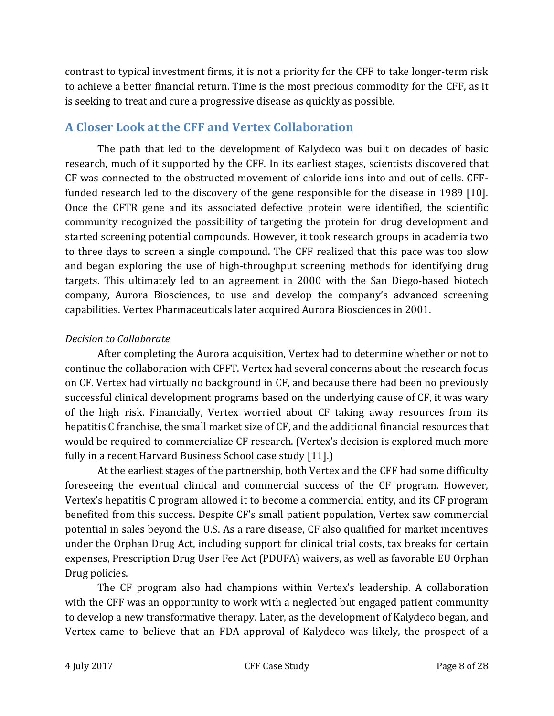contrast to typical investment firms, it is not a priority for the CFF to take longer-term risk to achieve a better financial return. Time is the most precious commodity for the CFF, as it is seeking to treat and cure a progressive disease as quickly as possible.

### **A Closer Look at the CFF and Vertex Collaboration**

The path that led to the development of Kalydeco was built on decades of basic research, much of it supported by the CFF. In its earliest stages, scientists discovered that CF was connected to the obstructed movement of chloride ions into and out of cells. CFFfunded research led to the discovery of the gene responsible for the disease in 1989 [10]. Once the CFTR gene and its associated defective protein were identified, the scientific community recognized the possibility of targeting the protein for drug development and started screening potential compounds. However, it took research groups in academia two to three days to screen a single compound. The CFF realized that this pace was too slow and began exploring the use of high-throughput screening methods for identifying drug targets. This ultimately led to an agreement in 2000 with the San Diego-based biotech company, Aurora Biosciences, to use and develop the company's advanced screening capabilities. Vertex Pharmaceuticals later acquired Aurora Biosciences in 2001.

### *Decision to Collaborate*

After completing the Aurora acquisition, Vertex had to determine whether or not to continue the collaboration with CFFT. Vertex had several concerns about the research focus on CF. Vertex had virtually no background in CF, and because there had been no previously successful clinical development programs based on the underlying cause of CF, it was wary of the high risk. Financially, Vertex worried about CF taking away resources from its hepatitis C franchise, the small market size of CF, and the additional financial resources that would be required to commercialize CF research. (Vertex's decision is explored much more fully in a recent Harvard Business School case study [11].)

At the earliest stages of the partnership, both Vertex and the CFF had some difficulty foreseeing the eventual clinical and commercial success of the CF program. However, Vertex's hepatitis C program allowed it to become a commercial entity, and its CF program benefited from this success. Despite CF's small patient population, Vertex saw commercial potential in sales beyond the U.S. As a rare disease, CF also qualified for market incentives under the Orphan Drug Act, including support for clinical trial costs, tax breaks for certain expenses, Prescription Drug User Fee Act (PDUFA) waivers, as well as favorable EU Orphan Drug policies.

The CF program also had champions within Vertex's leadership. A collaboration with the CFF was an opportunity to work with a neglected but engaged patient community to develop a new transformative therapy. Later, as the development of Kalydeco began, and Vertex came to believe that an FDA approval of Kalydeco was likely, the prospect of a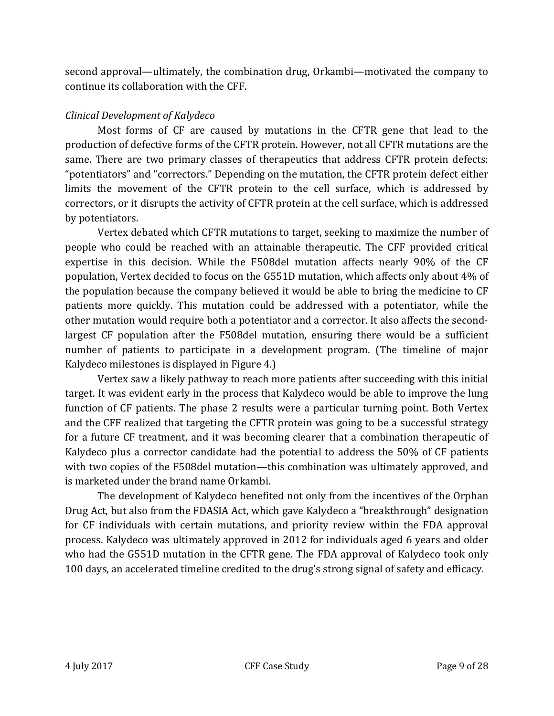second approval—ultimately, the combination drug, Orkambi—motivated the company to continue its collaboration with the CFF.

#### *Clinical Development of Kalydeco*

Most forms of CF are caused by mutations in the CFTR gene that lead to the production of defective forms of the CFTR protein. However, not all CFTR mutations are the same. There are two primary classes of therapeutics that address CFTR protein defects: "potentiators" and "correctors." Depending on the mutation, the CFTR protein defect either limits the movement of the CFTR protein to the cell surface, which is addressed by correctors, or it disrupts the activity of CFTR protein at the cell surface, which is addressed by potentiators.

Vertex debated which CFTR mutations to target, seeking to maximize the number of people who could be reached with an attainable therapeutic. The CFF provided critical expertise in this decision. While the F508del mutation affects nearly 90% of the CF population, Vertex decided to focus on the G551D mutation, which affects only about 4% of the population because the company believed it would be able to bring the medicine to CF patients more quickly. This mutation could be addressed with a potentiator, while the other mutation would require both a potentiator and a corrector. It also affects the secondlargest CF population after the F508del mutation, ensuring there would be a sufficient number of patients to participate in a development program. (The timeline of major Kalydeco milestones is displayed in Figure 4.)

Vertex saw a likely pathway to reach more patients after succeeding with this initial target. It was evident early in the process that Kalydeco would be able to improve the lung function of CF patients. The phase 2 results were a particular turning point. Both Vertex and the CFF realized that targeting the CFTR protein was going to be a successful strategy for a future CF treatment, and it was becoming clearer that a combination therapeutic of Kalydeco plus a corrector candidate had the potential to address the 50% of CF patients with two copies of the F508del mutation—this combination was ultimately approved, and is marketed under the brand name Orkambi.

The development of Kalydeco benefited not only from the incentives of the Orphan Drug Act, but also from the FDASIA Act, which gave Kalydeco a "breakthrough" designation for CF individuals with certain mutations, and priority review within the FDA approval process. Kalydeco was ultimately approved in 2012 for individuals aged 6 years and older who had the G551D mutation in the CFTR gene. The FDA approval of Kalydeco took only 100 days, an accelerated timeline credited to the drug's strong signal of safety and efficacy.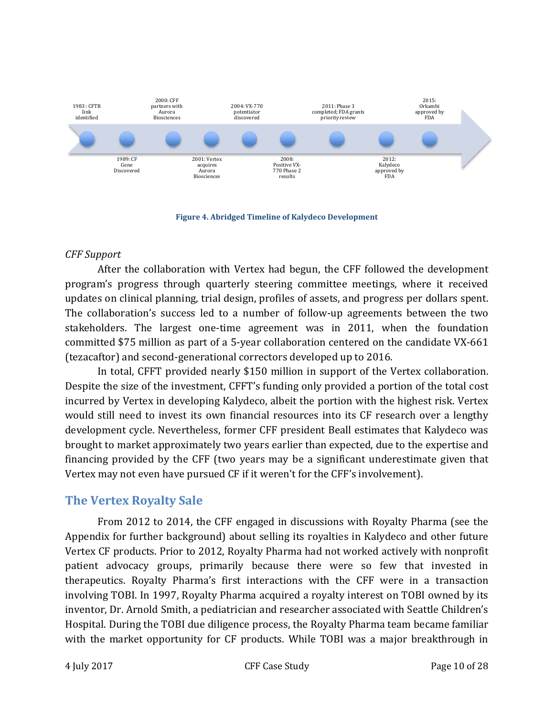

**Figure 4. Abridged Timeline of Kalydeco Development** 

#### *CFF Support*

After the collaboration with Vertex had begun, the CFF followed the development program's progress through quarterly steering committee meetings, where it received updates on clinical planning, trial design, profiles of assets, and progress per dollars spent. The collaboration's success led to a number of follow-up agreements between the two stakeholders. The largest one-time agreement was in 2011, when the foundation committed \$75 million as part of a 5-year collaboration centered on the candidate VX-661 (tezacaftor) and second-generational correctors developed up to 2016.

In total, CFFT provided nearly \$150 million in support of the Vertex collaboration. Despite the size of the investment, CFFT's funding only provided a portion of the total cost incurred by Vertex in developing Kalydeco, albeit the portion with the highest risk. Vertex would still need to invest its own financial resources into its CF research over a lengthy development cycle. Nevertheless, former CFF president Beall estimates that Kalydeco was brought to market approximately two years earlier than expected, due to the expertise and financing provided by the CFF (two years may be a significant underestimate given that Vertex may not even have pursued CF if it weren't for the CFF's involvement).

### **The Vertex Royalty Sale**

From 2012 to 2014, the CFF engaged in discussions with Royalty Pharma (see the Appendix for further background) about selling its royalties in Kalydeco and other future Vertex CF products. Prior to 2012, Royalty Pharma had not worked actively with nonprofit patient advocacy groups, primarily because there were so few that invested in therapeutics. Royalty Pharma's first interactions with the CFF were in a transaction involving TOBI. In 1997, Royalty Pharma acquired a royalty interest on TOBI owned by its inventor, Dr. Arnold Smith, a pediatrician and researcher associated with Seattle Children's Hospital. During the TOBI due diligence process, the Royalty Pharma team became familiar with the market opportunity for CF products. While TOBI was a major breakthrough in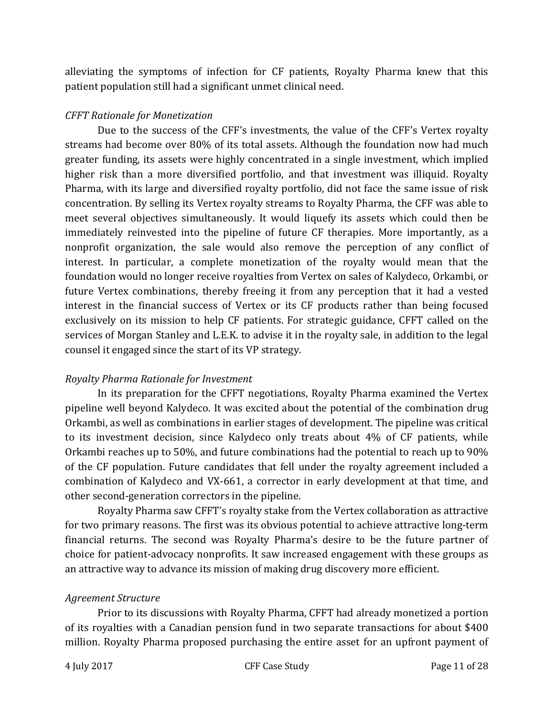alleviating the symptoms of infection for CF patients, Royalty Pharma knew that this patient population still had a significant unmet clinical need.

#### *CFFT Rationale for Monetization*

Due to the success of the CFF's investments, the value of the CFF's Vertex royalty streams had become over 80% of its total assets. Although the foundation now had much greater funding, its assets were highly concentrated in a single investment, which implied higher risk than a more diversified portfolio, and that investment was illiquid. Royalty Pharma, with its large and diversified royalty portfolio, did not face the same issue of risk concentration. By selling its Vertex royalty streams to Royalty Pharma, the CFF was able to meet several objectives simultaneously. It would liquefy its assets which could then be immediately reinvested into the pipeline of future CF therapies. More importantly, as a nonprofit organization, the sale would also remove the perception of any conflict of interest. In particular, a complete monetization of the royalty would mean that the foundation would no longer receive royalties from Vertex on sales of Kalydeco, Orkambi, or future Vertex combinations, thereby freeing it from any perception that it had a vested interest in the financial success of Vertex or its CF products rather than being focused exclusively on its mission to help CF patients. For strategic guidance, CFFT called on the services of Morgan Stanley and L.E.K. to advise it in the royalty sale, in addition to the legal counsel it engaged since the start of its VP strategy.

#### *Royalty Pharma Rationale for Investment*

In its preparation for the CFFT negotiations, Royalty Pharma examined the Vertex pipeline well beyond Kalydeco. It was excited about the potential of the combination drug Orkambi, as well as combinations in earlier stages of development. The pipeline was critical to its investment decision, since Kalydeco only treats about 4% of CF patients, while Orkambi reaches up to 50%, and future combinations had the potential to reach up to 90% of the CF population. Future candidates that fell under the royalty agreement included a combination of Kalydeco and VX-661, a corrector in early development at that time, and other second-generation correctors in the pipeline.

Royalty Pharma saw CFFT's royalty stake from the Vertex collaboration as attractive for two primary reasons. The first was its obvious potential to achieve attractive long-term financial returns. The second was Royalty Pharma's desire to be the future partner of choice for patient-advocacy nonprofits. It saw increased engagement with these groups as an attractive way to advance its mission of making drug discovery more efficient.

#### *Agreement Structure*

Prior to its discussions with Royalty Pharma, CFFT had already monetized a portion of its royalties with a Canadian pension fund in two separate transactions for about \$400 million. Royalty Pharma proposed purchasing the entire asset for an upfront payment of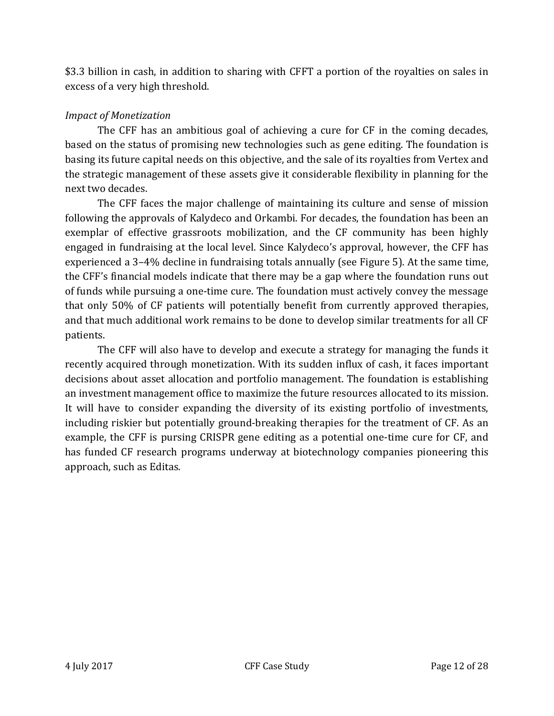\$3.3 billion in cash, in addition to sharing with CFFT a portion of the royalties on sales in excess of a very high threshold.

#### *Impact of Monetization*

The CFF has an ambitious goal of achieving a cure for CF in the coming decades, based on the status of promising new technologies such as gene editing. The foundation is basing its future capital needs on this objective, and the sale of its royalties from Vertex and the strategic management of these assets give it considerable flexibility in planning for the next two decades.

The CFF faces the major challenge of maintaining its culture and sense of mission following the approvals of Kalydeco and Orkambi. For decades, the foundation has been an exemplar of effective grassroots mobilization, and the CF community has been highly engaged in fundraising at the local level. Since Kalydeco's approval, however, the CFF has experienced a 3–4% decline in fundraising totals annually (see Figure 5). At the same time, the CFF's financial models indicate that there may be a gap where the foundation runs out of funds while pursuing a one-time cure. The foundation must actively convey the message that only 50% of CF patients will potentially benefit from currently approved therapies, and that much additional work remains to be done to develop similar treatments for all CF patients.

The CFF will also have to develop and execute a strategy for managing the funds it recently acquired through monetization. With its sudden influx of cash, it faces important decisions about asset allocation and portfolio management. The foundation is establishing an investment management office to maximize the future resources allocated to its mission. It will have to consider expanding the diversity of its existing portfolio of investments, including riskier but potentially ground-breaking therapies for the treatment of CF. As an example, the CFF is pursing CRISPR gene editing as a potential one-time cure for CF, and has funded CF research programs underway at biotechnology companies pioneering this approach, such as Editas.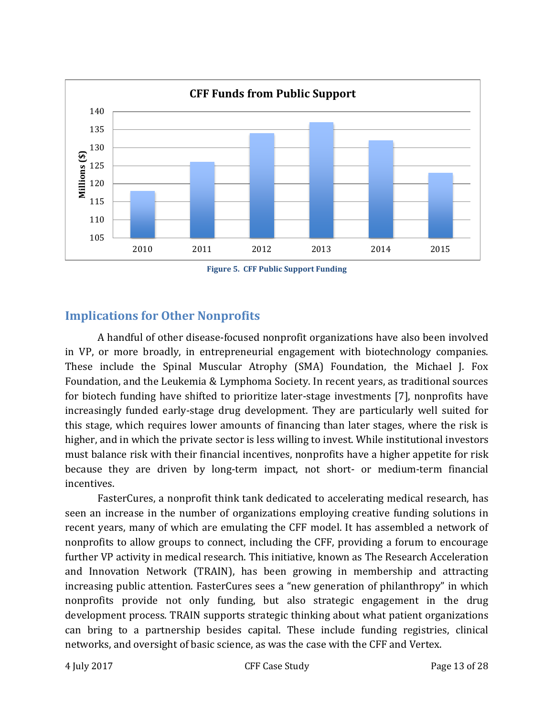

**Figure 5. CFF Public Support Funding**

### **Implications for Other Nonprofits**

A handful of other disease-focused nonprofit organizations have also been involved in VP, or more broadly, in entrepreneurial engagement with biotechnology companies. These include the Spinal Muscular Atrophy (SMA) Foundation, the Michael J. Fox Foundation, and the Leukemia & Lymphoma Society. In recent years, as traditional sources for biotech funding have shifted to prioritize later-stage investments [7], nonprofits have increasingly funded early-stage drug development. They are particularly well suited for this stage, which requires lower amounts of financing than later stages, where the risk is higher, and in which the private sector is less willing to invest. While institutional investors must balance risk with their financial incentives, nonprofits have a higher appetite for risk because they are driven by long-term impact, not short- or medium-term financial incentives.

FasterCures, a nonprofit think tank dedicated to accelerating medical research, has seen an increase in the number of organizations employing creative funding solutions in recent years, many of which are emulating the CFF model. It has assembled a network of nonprofits to allow groups to connect, including the CFF, providing a forum to encourage further VP activity in medical research. This initiative, known as The Research Acceleration and Innovation Network (TRAIN), has been growing in membership and attracting increasing public attention. FasterCures sees a "new generation of philanthropy" in which nonprofits provide not only funding, but also strategic engagement in the drug development process. TRAIN supports strategic thinking about what patient organizations can bring to a partnership besides capital. These include funding registries, clinical networks, and oversight of basic science, as was the case with the CFF and Vertex.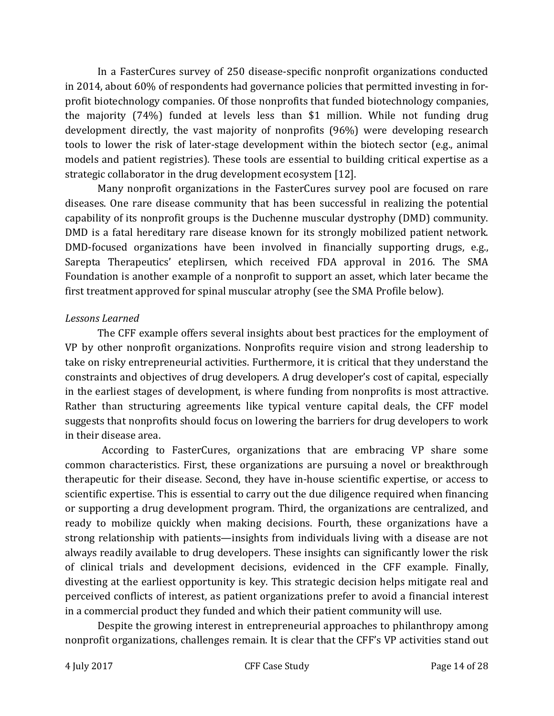In a FasterCures survey of 250 disease-specific nonprofit organizations conducted in 2014, about 60% of respondents had governance policies that permitted investing in forprofit biotechnology companies. Of those nonprofits that funded biotechnology companies, the majority (74%) funded at levels less than \$1 million. While not funding drug development directly, the vast majority of nonprofits (96%) were developing research tools to lower the risk of later-stage development within the biotech sector (e.g., animal models and patient registries). These tools are essential to building critical expertise as a strategic collaborator in the drug development ecosystem [12].

Many nonprofit organizations in the FasterCures survey pool are focused on rare diseases. One rare disease community that has been successful in realizing the potential capability of its nonprofit groups is the Duchenne muscular dystrophy (DMD) community. DMD is a fatal hereditary rare disease known for its strongly mobilized patient network. DMD-focused organizations have been involved in financially supporting drugs, e.g., Sarepta Therapeutics' eteplirsen, which received FDA approval in 2016. The SMA Foundation is another example of a nonprofit to support an asset, which later became the first treatment approved for spinal muscular atrophy (see the SMA Profile below).

#### *Lessons Learned*

The CFF example offers several insights about best practices for the employment of VP by other nonprofit organizations. Nonprofits require vision and strong leadership to take on risky entrepreneurial activities. Furthermore, it is critical that they understand the constraints and objectives of drug developers. A drug developer's cost of capital, especially in the earliest stages of development, is where funding from nonprofits is most attractive. Rather than structuring agreements like typical venture capital deals, the CFF model suggests that nonprofits should focus on lowering the barriers for drug developers to work in their disease area.

According to FasterCures, organizations that are embracing VP share some common characteristics. First, these organizations are pursuing a novel or breakthrough therapeutic for their disease. Second, they have in-house scientific expertise, or access to scientific expertise. This is essential to carry out the due diligence required when financing or supporting a drug development program. Third, the organizations are centralized, and ready to mobilize quickly when making decisions. Fourth, these organizations have a strong relationship with patients—insights from individuals living with a disease are not always readily available to drug developers. These insights can significantly lower the risk of clinical trials and development decisions, evidenced in the CFF example. Finally, divesting at the earliest opportunity is key. This strategic decision helps mitigate real and perceived conflicts of interest, as patient organizations prefer to avoid a financial interest in a commercial product they funded and which their patient community will use.

Despite the growing interest in entrepreneurial approaches to philanthropy among nonprofit organizations, challenges remain. It is clear that the CFF's VP activities stand out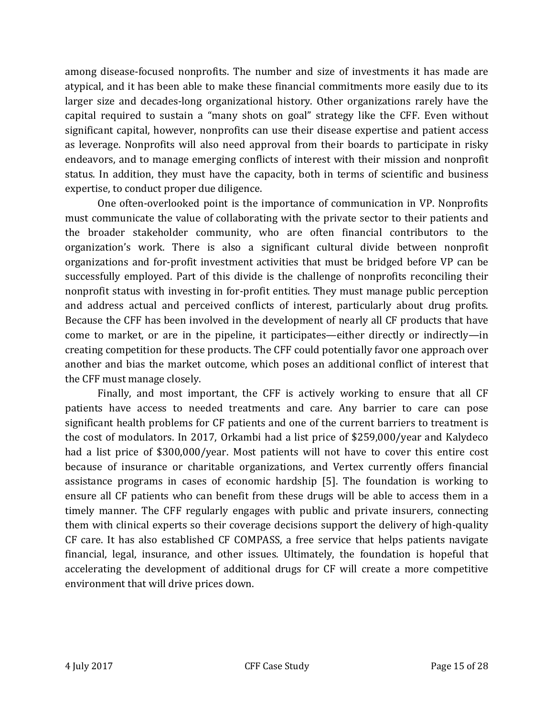among disease-focused nonprofits. The number and size of investments it has made are atypical, and it has been able to make these financial commitments more easily due to its larger size and decades-long organizational history. Other organizations rarely have the capital required to sustain a "many shots on goal" strategy like the CFF. Even without significant capital, however, nonprofits can use their disease expertise and patient access as leverage. Nonprofits will also need approval from their boards to participate in risky endeavors, and to manage emerging conflicts of interest with their mission and nonprofit status. In addition, they must have the capacity, both in terms of scientific and business expertise, to conduct proper due diligence.

One often-overlooked point is the importance of communication in VP. Nonprofits must communicate the value of collaborating with the private sector to their patients and the broader stakeholder community, who are often financial contributors to the organization's work. There is also a significant cultural divide between nonprofit organizations and for-profit investment activities that must be bridged before VP can be successfully employed. Part of this divide is the challenge of nonprofits reconciling their nonprofit status with investing in for-profit entities. They must manage public perception and address actual and perceived conflicts of interest, particularly about drug profits. Because the CFF has been involved in the development of nearly all CF products that have come to market, or are in the pipeline, it participates—either directly or indirectly—in creating competition for these products. The CFF could potentially favor one approach over another and bias the market outcome, which poses an additional conflict of interest that the CFF must manage closely.

Finally, and most important, the CFF is actively working to ensure that all CF patients have access to needed treatments and care. Any barrier to care can pose significant health problems for CF patients and one of the current barriers to treatment is the cost of modulators. In 2017, Orkambi had a list price of \$259,000/year and Kalydeco had a list price of \$300,000/year. Most patients will not have to cover this entire cost because of insurance or charitable organizations, and Vertex currently offers financial assistance programs in cases of economic hardship [5]. The foundation is working to ensure all CF patients who can benefit from these drugs will be able to access them in a timely manner. The CFF regularly engages with public and private insurers, connecting them with clinical experts so their coverage decisions support the delivery of high-quality CF care. It has also established CF COMPASS, a free service that helps patients navigate financial, legal, insurance, and other issues. Ultimately, the foundation is hopeful that accelerating the development of additional drugs for CF will create a more competitive environment that will drive prices down.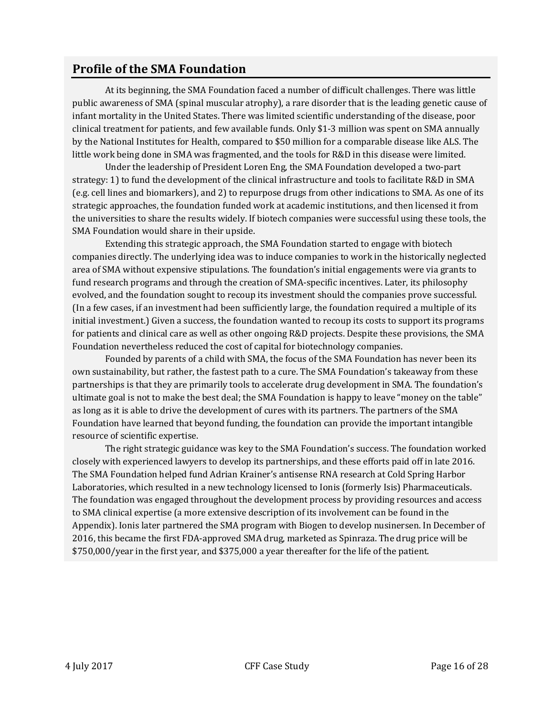### **Profile of the SMA Foundation**

At its beginning, the SMA Foundation faced a number of difficult challenges. There was little public awareness of SMA (spinal muscular atrophy), a rare disorder that is the leading genetic cause of infant mortality in the United States. There was limited scientific understanding of the disease, poor clinical treatment for patients, and few available funds. Only \$1-3 million was spent on SMA annually by the National Institutes for Health, compared to \$50 million for a comparable disease like ALS. The little work being done in SMA was fragmented, and the tools for R&D in this disease were limited.

Under the leadership of President Loren Eng, the SMA Foundation developed a two-part strategy: 1) to fund the development of the clinical infrastructure and tools to facilitate R&D in SMA (e.g. cell lines and biomarkers), and 2) to repurpose drugs from other indications to SMA. As one of its strategic approaches, the foundation funded work at academic institutions, and then licensed it from the universities to share the results widely. If biotech companies were successful using these tools, the SMA Foundation would share in their upside.

Extending this strategic approach, the SMA Foundation started to engage with biotech companies directly. The underlying idea was to induce companies to work in the historically neglected area of SMA without expensive stipulations. The foundation's initial engagements were via grants to fund research programs and through the creation of SMA-specific incentives. Later, its philosophy evolved, and the foundation sought to recoup its investment should the companies prove successful. (In a few cases, if an investment had been sufficiently large, the foundation required a multiple of its initial investment.) Given a success, the foundation wanted to recoup its costs to support its programs for patients and clinical care as well as other ongoing R&D projects. Despite these provisions, the SMA Foundation nevertheless reduced the cost of capital for biotechnology companies.

Founded by parents of a child with SMA, the focus of the SMA Foundation has never been its own sustainability, but rather, the fastest path to a cure. The SMA Foundation's takeaway from these partnerships is that they are primarily tools to accelerate drug development in SMA. The foundation's ultimate goal is not to make the best deal; the SMA Foundation is happy to leave "money on the table" as long as it is able to drive the development of cures with its partners. The partners of the SMA Foundation have learned that beyond funding, the foundation can provide the important intangible resource of scientific expertise.

The right strategic guidance was key to the SMA Foundation's success. The foundation worked closely with experienced lawyers to develop its partnerships, and these efforts paid off in late 2016. The SMA Foundation helped fund Adrian Krainer's antisense RNA research at Cold Spring Harbor Laboratories, which resulted in a new technology licensed to Ionis (formerly Isis) Pharmaceuticals. The foundation was engaged throughout the development process by providing resources and access to SMA clinical expertise (a more extensive description of its involvement can be found in the Appendix). Ionis later partnered the SMA program with Biogen to develop nusinersen. In December of 2016, this became the first FDA-approved SMA drug, marketed as Spinraza. The drug price will be \$750,000/year in the first year, and \$375,000 a year thereafter for the life of the patient.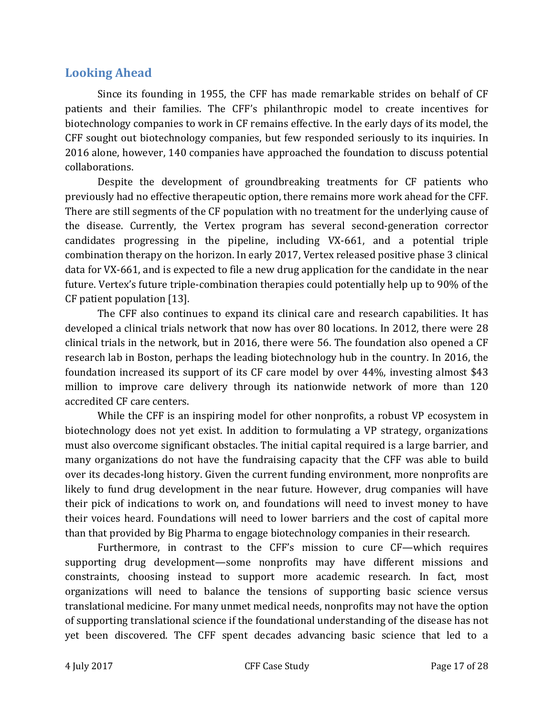### **Looking Ahead**

Since its founding in 1955, the CFF has made remarkable strides on behalf of CF patients and their families. The CFF's philanthropic model to create incentives for biotechnology companies to work in CF remains effective. In the early days of its model, the CFF sought out biotechnology companies, but few responded seriously to its inquiries. In 2016 alone, however, 140 companies have approached the foundation to discuss potential collaborations.

Despite the development of groundbreaking treatments for CF patients who previously had no effective therapeutic option, there remains more work ahead for the CFF. There are still segments of the CF population with no treatment for the underlying cause of the disease. Currently, the Vertex program has several second-generation corrector candidates progressing in the pipeline, including VX-661, and a potential triple combination therapy on the horizon. In early 2017, Vertex released positive phase 3 clinical data for VX-661, and is expected to file a new drug application for the candidate in the near future. Vertex's future triple-combination therapies could potentially help up to 90% of the CF patient population [13].

The CFF also continues to expand its clinical care and research capabilities. It has developed a clinical trials network that now has over 80 locations. In 2012, there were 28 clinical trials in the network, but in 2016, there were 56. The foundation also opened a CF research lab in Boston, perhaps the leading biotechnology hub in the country. In 2016, the foundation increased its support of its CF care model by over 44%, investing almost \$43 million to improve care delivery through its nationwide network of more than 120 accredited CF care centers.

While the CFF is an inspiring model for other nonprofits, a robust VP ecosystem in biotechnology does not yet exist. In addition to formulating a VP strategy, organizations must also overcome significant obstacles. The initial capital required is a large barrier, and many organizations do not have the fundraising capacity that the CFF was able to build over its decades-long history. Given the current funding environment, more nonprofits are likely to fund drug development in the near future. However, drug companies will have their pick of indications to work on, and foundations will need to invest money to have their voices heard. Foundations will need to lower barriers and the cost of capital more than that provided by Big Pharma to engage biotechnology companies in their research.

Furthermore, in contrast to the CFF's mission to cure CF—which requires supporting drug development—some nonprofits may have different missions and constraints, choosing instead to support more academic research. In fact, most organizations will need to balance the tensions of supporting basic science versus translational medicine. For many unmet medical needs, nonprofits may not have the option of supporting translational science if the foundational understanding of the disease has not yet been discovered. The CFF spent decades advancing basic science that led to a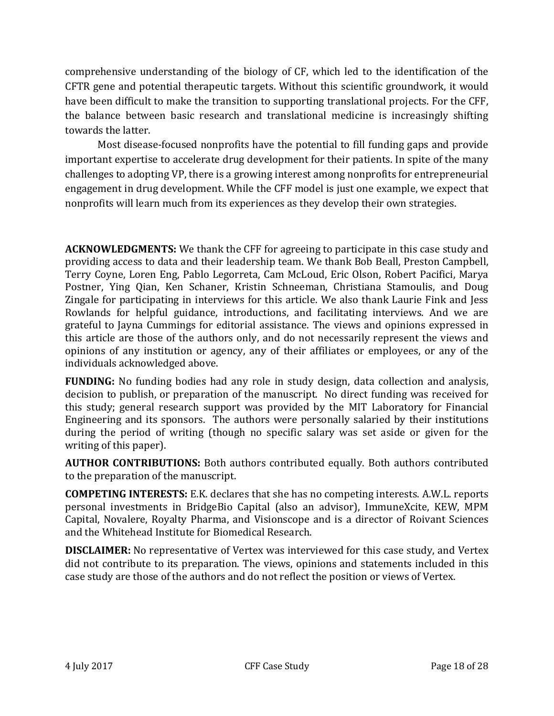comprehensive understanding of the biology of CF, which led to the identification of the CFTR gene and potential therapeutic targets. Without this scientific groundwork, it would have been difficult to make the transition to supporting translational projects. For the CFF, the balance between basic research and translational medicine is increasingly shifting towards the latter.

Most disease-focused nonprofits have the potential to fill funding gaps and provide important expertise to accelerate drug development for their patients. In spite of the many challenges to adopting VP, there is a growing interest among nonprofits for entrepreneurial engagement in drug development. While the CFF model is just one example, we expect that nonprofits will learn much from its experiences as they develop their own strategies.

**ACKNOWLEDGMENTS:** We thank the CFF for agreeing to participate in this case study and providing access to data and their leadership team. We thank Bob Beall, Preston Campbell, Terry Coyne, Loren Eng, Pablo Legorreta, Cam McLoud, Eric Olson, Robert Pacifici, Marya Postner, Ying Qian, Ken Schaner, Kristin Schneeman, Christiana Stamoulis, and Doug Zingale for participating in interviews for this article. We also thank Laurie Fink and Jess Rowlands for helpful guidance, introductions, and facilitating interviews. And we are grateful to Jayna Cummings for editorial assistance. The views and opinions expressed in this article are those of the authors only, and do not necessarily represent the views and opinions of any institution or agency, any of their affiliates or employees, or any of the individuals acknowledged above.

**FUNDING:** No funding bodies had any role in study design, data collection and analysis, decision to publish, or preparation of the manuscript. No direct funding was received for this study; general research support was provided by the MIT Laboratory for Financial Engineering and its sponsors. The authors were personally salaried by their institutions during the period of writing (though no specific salary was set aside or given for the writing of this paper).

**AUTHOR CONTRIBUTIONS:** Both authors contributed equally. Both authors contributed to the preparation of the manuscript.

**COMPETING INTERESTS:** E.K. declares that she has no competing interests. A.W.L. reports personal investments in BridgeBio Capital (also an advisor), ImmuneXcite, KEW, MPM Capital, Novalere, Royalty Pharma, and Visionscope and is a director of Roivant Sciences and the Whitehead Institute for Biomedical Research.

**DISCLAIMER:** No representative of Vertex was interviewed for this case study, and Vertex did not contribute to its preparation. The views, opinions and statements included in this case study are those of the authors and do not reflect the position or views of Vertex.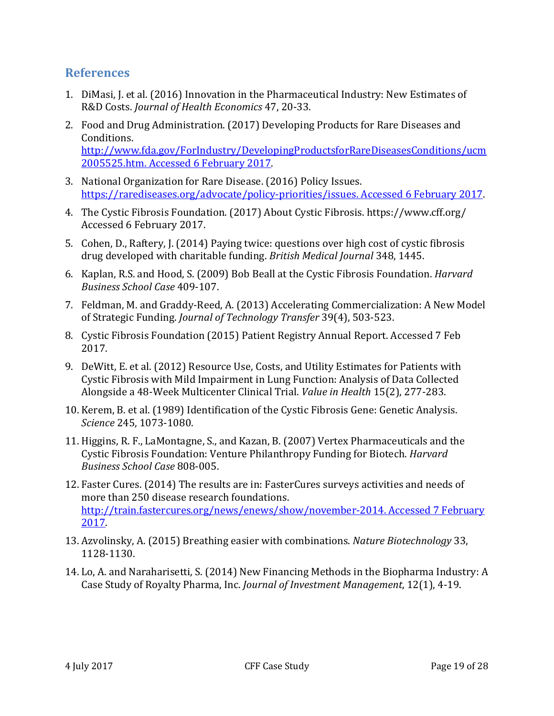### **References**

- 1. DiMasi, J. et al. (2016) Innovation in the Pharmaceutical Industry: New Estimates of R&D Costs. *Journal of Health Economics* 47, 20-33.
- 2. Food and Drug Administration. (2017) Developing Products for Rare Diseases and Conditions. http://www.fda.gov/ForIndustry/DevelopingProductsforRareDiseasesConditions/ucm 2005525.htm. Accessed 6 February 2017.
- 3. National Organization for Rare Disease. (2016) Policy Issues. https://rarediseases.org/advocate/policy-priorities/issues. Accessed 6 February 2017.
- 4. The Cystic Fibrosis Foundation. (2017) About Cystic Fibrosis. https://www.cff.org/ Accessed 6 February 2017.
- 5. Cohen, D., Raftery, J. (2014) Paying twice: questions over high cost of cystic fibrosis drug developed with charitable funding. *British Medical Journal* 348, 1445.
- 6. Kaplan, R.S. and Hood, S. (2009) Bob Beall at the Cystic Fibrosis Foundation. *Harvard Business School Case* 409-107.
- 7. Feldman, M. and Graddy-Reed, A. (2013) Accelerating Commercialization: A New Model of Strategic Funding. *Journal of Technology Transfer* 39(4), 503-523.
- 8. Cystic Fibrosis Foundation (2015) Patient Registry Annual Report. Accessed 7 Feb 2017.
- 9. DeWitt, E. et al. (2012) Resource Use, Costs, and Utility Estimates for Patients with Cystic Fibrosis with Mild Impairment in Lung Function: Analysis of Data Collected Alongside a 48-Week Multicenter Clinical Trial. *Value in Health* 15(2), 277-283.
- 10. Kerem, B. et al. (1989) Identification of the Cystic Fibrosis Gene: Genetic Analysis. *Science* 245, 1073-1080.
- 11. Higgins, R. F., LaMontagne, S., and Kazan, B. (2007) Vertex Pharmaceuticals and the Cystic Fibrosis Foundation: Venture Philanthropy Funding for Biotech. *Harvard Business School Case* 808-005.
- 12. Faster Cures. (2014) The results are in: FasterCures surveys activities and needs of more than 250 disease research foundations. http://train.fastercures.org/news/enews/show/november-2014. Accessed 7 February 2017.
- 13. Azvolinsky, A. (2015) Breathing easier with combinations. *Nature Biotechnology* 33, 1128-1130.
- 14. Lo, A. and Naraharisetti, S. (2014) New Financing Methods in the Biopharma Industry: A Case Study of Royalty Pharma, Inc. *Journal of Investment Management*, 12(1), 4-19.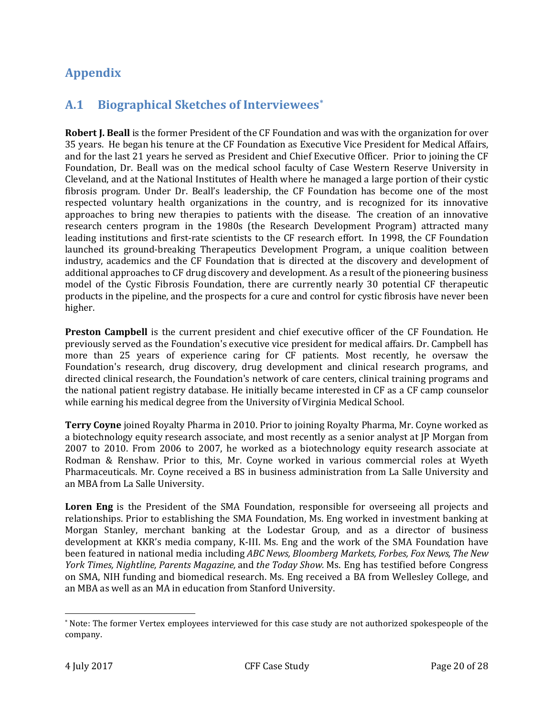# **Appendix**

### **A.1 Biographical Sketches of Interviewees[\\*](#page-20-0)**

**Robert J. Beall** is the former President of the CF Foundation and was with the organization for over 35 years. He began his tenure at the CF Foundation as Executive Vice President for Medical Affairs, and for the last 21 years he served as President and Chief Executive Officer. Prior to joining the CF Foundation, Dr. Beall was on the medical school faculty of Case Western Reserve University in Cleveland, and at the National Institutes of Health where he managed a large portion of their cystic fibrosis program. Under Dr. Beall's leadership, the CF Foundation has become one of the most respected voluntary health organizations in the country, and is recognized for its innovative approaches to bring new therapies to patients with the disease. The creation of an innovative research centers program in the 1980s (the Research Development Program) attracted many leading institutions and first-rate scientists to the CF research effort. In 1998, the CF Foundation launched its ground-breaking Therapeutics Development Program, a unique coalition between industry, academics and the CF Foundation that is directed at the discovery and development of additional approaches to CF drug discovery and development. As a result of the pioneering business model of the Cystic Fibrosis Foundation, there are currently nearly 30 potential CF therapeutic products in the pipeline, and the prospects for a cure and control for cystic fibrosis have never been higher.

**Preston Campbell** is the current president and chief executive officer of the CF Foundation. He previously served as the Foundation's executive vice president for medical affairs. Dr. Campbell has more than 25 years of experience caring for CF patients. Most recently, he oversaw the Foundation's research, drug discovery, drug development and clinical research programs, and directed clinical research, the Foundation's network of care centers, clinical training programs and the national patient registry database. He initially became interested in CF as a CF camp counselor while earning his medical degree from the University of Virginia Medical School.

**Terry Coyne** joined Royalty Pharma in 2010. Prior to joining Royalty Pharma, Mr. Coyne worked as a biotechnology equity research associate, and most recently as a senior analyst at JP Morgan from 2007 to 2010. From 2006 to 2007, he worked as a biotechnology equity research associate at Rodman & Renshaw. Prior to this, Mr. Coyne worked in various commercial roles at Wyeth Pharmaceuticals. Mr. Coyne received a BS in business administration from La Salle University and an MBA from La Salle University.

Loren Eng is the President of the SMA Foundation, responsible for overseeing all projects and relationships. Prior to establishing the SMA Foundation, Ms. Eng worked in investment banking at Morgan Stanley, merchant banking at the Lodestar Group, and as a director of business development at KKR's media company, K-III. Ms. Eng and the work of the SMA Foundation have been featured in national media including *ABC News, Bloomberg Markets, Forbes, Fox News, The New York Times, Nightline, Parents Magazine,* and *the Today Show.* Ms. Eng has testified before Congress on SMA, NIH funding and biomedical research. Ms. Eng received a BA from Wellesley College, and an MBA as well as an MA in education from Stanford University.

<span id="page-20-0"></span> <sup>\*</sup> Note: The former Vertex employees interviewed for this case study are not authorized spokespeople of the company.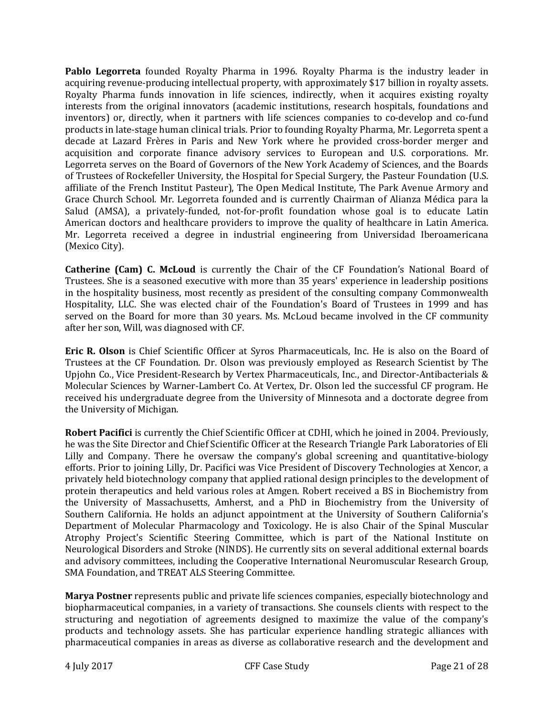**Pablo Legorreta** founded Royalty Pharma in 1996. Royalty Pharma is the industry leader in acquiring revenue-producing intellectual property, with approximately \$17 billion in royalty assets. Royalty Pharma funds innovation in life sciences, indirectly, when it acquires existing royalty interests from the original innovators (academic institutions, research hospitals, foundations and inventors) or, directly, when it partners with life sciences companies to co-develop and co-fund products in late-stage human clinical trials. Prior to founding Royalty Pharma, Mr. Legorreta spent a decade at Lazard Frères in Paris and New York where he provided cross-border merger and acquisition and corporate finance advisory services to European and U.S. corporations. Mr. Legorreta serves on the Board of Governors of the New York Academy of Sciences, and the Boards of Trustees of Rockefeller University, the Hospital for Special Surgery, the Pasteur Foundation (U.S. affiliate of the French Institut Pasteur), The Open Medical Institute, The Park Avenue Armory and Grace Church School. Mr. Legorreta founded and is currently Chairman of Alianza Médica para la Salud (AMSA), a privately-funded, not-for-profit foundation whose goal is to educate Latin American doctors and healthcare providers to improve the quality of healthcare in Latin America. Mr. Legorreta received a degree in industrial engineering from Universidad Iberoamericana (Mexico City).

**Catherine (Cam) C. McLoud** is currently the Chair of the CF Foundation's National Board of Trustees. She is a seasoned executive with more than 35 years' experience in leadership positions in the hospitality business, most recently as president of the consulting company Commonwealth Hospitality, LLC. She was elected chair of the Foundation's Board of Trustees in 1999 and has served on the Board for more than 30 years. Ms. McLoud became involved in the CF community after her son, Will, was diagnosed with CF.

**Eric R. Olson** is Chief Scientific Officer at Syros Pharmaceuticals, Inc. He is also on the Board of Trustees at the CF Foundation. Dr. Olson was previously employed as Research Scientist by The Upjohn Co., Vice President-Research by Vertex Pharmaceuticals, Inc., and Director-Antibacterials & Molecular Sciences by Warner-Lambert Co. At Vertex, Dr. Olson led the successful CF program. He received his undergraduate degree from the University of Minnesota and a doctorate degree from the University of Michigan.

**Robert Pacifici** is currently the Chief Scientific Officer at CDHI, which he joined in 2004. Previously, he was the Site Director and Chief Scientific Officer at the Research Triangle Park Laboratories of Eli Lilly and Company. There he oversaw the company's global screening and quantitative-biology efforts. Prior to joining Lilly, Dr. Pacifici was Vice President of Discovery Technologies at Xencor, a privately held biotechnology company that applied rational design principles to the development of protein therapeutics and held various roles at Amgen. Robert received a BS in Biochemistry from the University of Massachusetts, Amherst, and a PhD in Biochemistry from the University of Southern California. He holds an adjunct appointment at the University of Southern California's Department of Molecular Pharmacology and Toxicology. He is also Chair of the Spinal Muscular Atrophy Project's Scientific Steering Committee, which is part of the National Institute on Neurological Disorders and Stroke (NINDS). He currently sits on several additional external boards and advisory committees, including the Cooperative International Neuromuscular Research Group, SMA Foundation, and TREAT ALS Steering Committee.

**Marya Postner** represents public and private life sciences companies, especially biotechnology and biopharmaceutical companies, in a variety of transactions. She counsels clients with respect to the structuring and negotiation of agreements designed to maximize the value of the company's products and technology assets. She has particular experience handling strategic alliances with pharmaceutical companies in areas as diverse as collaborative research and the development and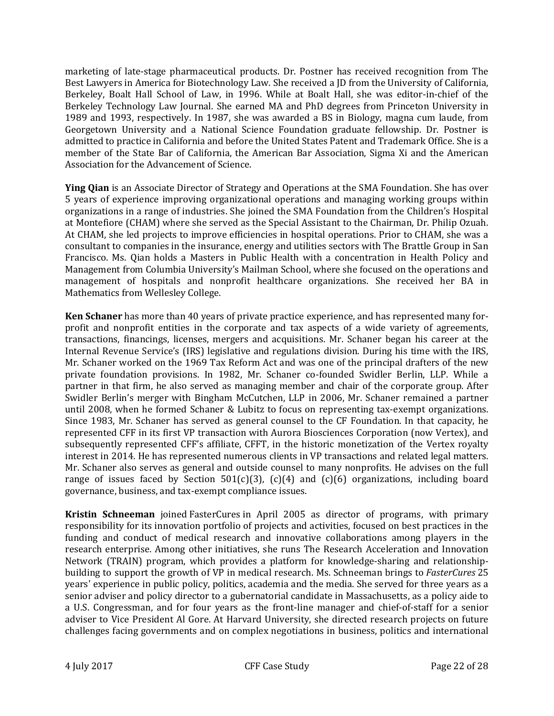marketing of late-stage pharmaceutical products. Dr. Postner has received recognition from The Best Lawyers in America for Biotechnology Law. She received a JD from the University of California, Berkeley, Boalt Hall School of Law, in 1996. While at Boalt Hall, she was editor-in-chief of the Berkeley Technology Law Journal. She earned MA and PhD degrees from Princeton University in 1989 and 1993, respectively. In 1987, she was awarded a BS in Biology, magna cum laude, from Georgetown University and a National Science Foundation graduate fellowship. Dr. Postner is admitted to practice in California and before the United States Patent and Trademark Office. She is a member of the State Bar of California, the American Bar Association, Sigma Xi and the American Association for the Advancement of Science.

**Ying Qian** is an Associate Director of Strategy and Operations at the SMA Foundation. She has over 5 years of experience improving organizational operations and managing working groups within organizations in a range of industries. She joined the SMA Foundation from the Children's Hospital at Montefiore (CHAM) where she served as the Special Assistant to the Chairman, Dr. Philip Ozuah. At CHAM, she led projects to improve efficiencies in hospital operations. Prior to CHAM, she was a consultant to companies in the insurance, energy and utilities sectors with The Brattle Group in San Francisco. Ms. Qian holds a Masters in Public Health with a concentration in Health Policy and Management from Columbia University's Mailman School, where she focused on the operations and management of hospitals and nonprofit healthcare organizations. She received her BA in Mathematics from Wellesley College.

**Ken Schaner** has more than 40 years of private practice experience, and has represented many forprofit and nonprofit entities in the corporate and tax aspects of a wide variety of agreements, transactions, financings, licenses, mergers and acquisitions. Mr. Schaner began his career at the Internal Revenue Service's (IRS) legislative and regulations division. During his time with the IRS, Mr. Schaner worked on the 1969 Tax Reform Act and was one of the principal drafters of the new private foundation provisions. In 1982, Mr. Schaner co-founded Swidler Berlin, LLP. While a partner in that firm, he also served as managing member and chair of the corporate group. After Swidler Berlin's merger with Bingham McCutchen, LLP in 2006, Mr. Schaner remained a partner until 2008, when he formed Schaner & Lubitz to focus on representing tax-exempt organizations. Since 1983, Mr. Schaner has served as general counsel to the CF Foundation. In that capacity, he represented CFF in its first VP transaction with Aurora Biosciences Corporation (now Vertex), and subsequently represented CFF's affiliate, CFFT, in the historic monetization of the Vertex royalty interest in 2014. He has represented numerous clients in VP transactions and related legal matters. Mr. Schaner also serves as general and outside counsel to many nonprofits. He advises on the full range of issues faced by Section  $501(c)(3)$ ,  $(c)(4)$  and  $(c)(6)$  organizations, including board governance, business, and tax-exempt compliance issues.

**Kristin Schneeman** joined FasterCures in April 2005 as director of programs, with primary responsibility for its innovation portfolio of projects and activities, focused on best practices in the funding and conduct of medical research and innovative collaborations among players in the research enterprise. Among other initiatives, she runs The Research Acceleration and Innovation Network (TRAIN) program, which provides a platform for knowledge-sharing and relationshipbuilding to support the growth of VP in medical research. Ms. Schneeman brings to *FasterCures* 25 years' experience in public policy, politics, academia and the media. She served for three years as a senior adviser and policy director to a gubernatorial candidate in Massachusetts, as a policy aide to a U.S. Congressman, and for four years as the front-line manager and chief-of-staff for a senior adviser to Vice President Al Gore. At Harvard University, she directed research projects on future challenges facing governments and on complex negotiations in business, politics and international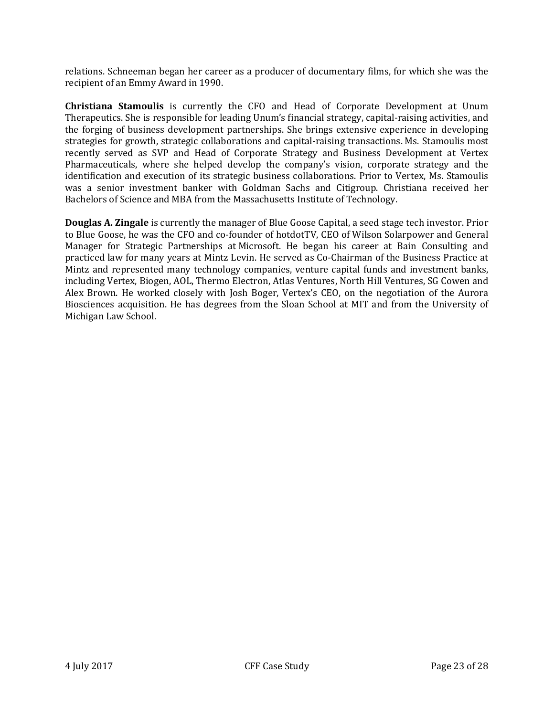relations. Schneeman began her career as a producer of documentary films, for which she was the recipient of an Emmy Award in 1990.

**Christiana Stamoulis** is currently the CFO and Head of Corporate Development at Unum Therapeutics. She is responsible for leading Unum's financial strategy, capital-raising activities, and the forging of business development partnerships. She brings extensive experience in developing strategies for growth, strategic collaborations and capital-raising transactions. Ms. Stamoulis most recently served as SVP and Head of Corporate Strategy and Business Development at Vertex Pharmaceuticals, where she helped develop the company's vision, corporate strategy and the identification and execution of its strategic business collaborations. Prior to Vertex, Ms. Stamoulis was a senior investment banker with Goldman Sachs and Citigroup. Christiana received her Bachelors of Science and MBA from the Massachusetts Institute of Technology.

**Douglas A. Zingale** is currently the manager of Blue Goose Capital, a seed stage tech investor. Prior to Blue Goose, he was the CFO and co-founder of hotdotTV, CEO of Wilson Solarpower and General Manager for Strategic Partnerships at Microsoft. He began his career at Bain Consulting and practiced law for many years at Mintz Levin. He served as Co-Chairman of the Business Practice at Mintz and represented many technology companies, venture capital funds and investment banks, including Vertex, Biogen, AOL, Thermo Electron, Atlas Ventures, North Hill Ventures, SG Cowen and Alex Brown. He worked closely with Josh Boger, Vertex's CEO, on the negotiation of the Aurora Biosciences acquisition. He has degrees from the Sloan School at MIT and from the University of Michigan Law School.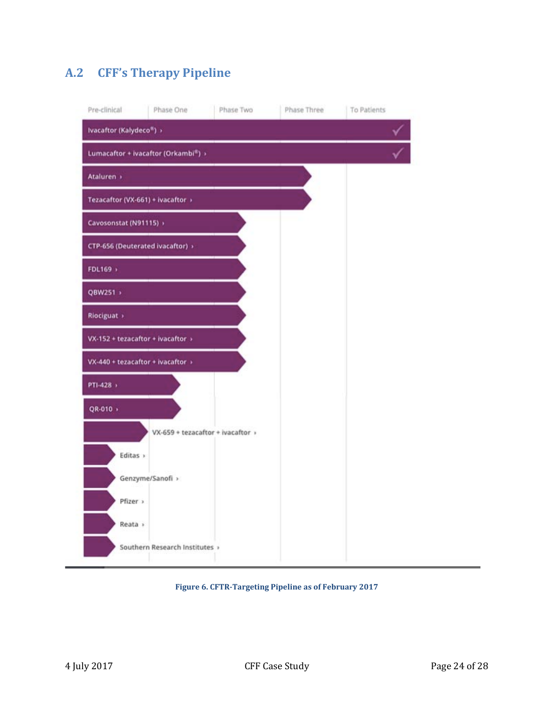# **A.2 CFF's Therapy Pipeline**

| Pre-clinical                      | Phase One                                        | Phase Two                         | Phase Three | To Patients |
|-----------------------------------|--------------------------------------------------|-----------------------------------|-------------|-------------|
| Ivacaftor (Kalydeco*) >           |                                                  |                                   |             |             |
|                                   | Lumacaftor + ivacaftor (Orkambi <sup>®</sup> ) > |                                   |             |             |
| Ataluren »                        |                                                  |                                   |             |             |
| Tezacaftor (VX-661) + ivacaftor > |                                                  |                                   |             |             |
| Cavosonstat (N91115) >            |                                                  |                                   |             |             |
| CTP-656 (Deuterated ivacaftor) >  |                                                  |                                   |             |             |
| FDL169 >                          |                                                  |                                   |             |             |
| QBW251 >                          |                                                  |                                   |             |             |
| Riociguat >                       |                                                  |                                   |             |             |
| $VX-152 + tezacaftor + ivacaftor$ |                                                  |                                   |             |             |
| VX-440 + tezacaftor + ivacaftor > |                                                  |                                   |             |             |
| PTI-428 >                         |                                                  |                                   |             |             |
| QR-010 +                          |                                                  |                                   |             |             |
|                                   |                                                  | VX-659 + tezacaftor + ivacaftor > |             |             |
| Editas >                          |                                                  |                                   |             |             |
|                                   | Genzyme/Sanofi >                                 |                                   |             |             |
| Pfizer >                          |                                                  |                                   |             |             |
| Reata >                           |                                                  |                                   |             |             |
|                                   | Southern Research Institutes >                   |                                   |             |             |

#### **Figure 6. CFTR-Targeting Pipeline as of February 2017**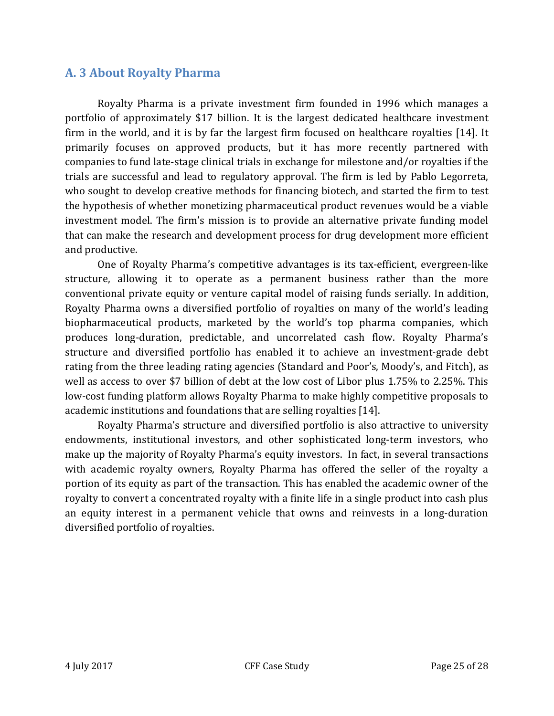### **A. 3 About Royalty Pharma**

Royalty Pharma is a private investment firm founded in 1996 which manages a portfolio of approximately \$17 billion. It is the largest dedicated healthcare investment firm in the world, and it is by far the largest firm focused on healthcare royalties [14]. It primarily focuses on approved products, but it has more recently partnered with companies to fund late-stage clinical trials in exchange for milestone and/or royalties if the trials are successful and lead to regulatory approval. The firm is led by Pablo Legorreta, who sought to develop creative methods for financing biotech, and started the firm to test the hypothesis of whether monetizing pharmaceutical product revenues would be a viable investment model. The firm's mission is to provide an alternative private funding model that can make the research and development process for drug development more efficient and productive.

One of Royalty Pharma's competitive advantages is its tax-efficient, evergreen-like structure, allowing it to operate as a permanent business rather than the more conventional private equity or venture capital model of raising funds serially. In addition, Royalty Pharma owns a diversified portfolio of royalties on many of the world's leading biopharmaceutical products, marketed by the world's top pharma companies, which produces long-duration, predictable, and uncorrelated cash flow. Royalty Pharma's structure and diversified portfolio has enabled it to achieve an investment-grade debt rating from the three leading rating agencies (Standard and Poor's, Moody's, and Fitch), as well as access to over \$7 billion of debt at the low cost of Libor plus 1.75% to 2.25%. This low-cost funding platform allows Royalty Pharma to make highly competitive proposals to academic institutions and foundations that are selling royalties [14].

Royalty Pharma's structure and diversified portfolio is also attractive to university endowments, institutional investors, and other sophisticated long-term investors, who make up the majority of Royalty Pharma's equity investors. In fact, in several transactions with academic royalty owners, Royalty Pharma has offered the seller of the royalty a portion of its equity as part of the transaction. This has enabled the academic owner of the royalty to convert a concentrated royalty with a finite life in a single product into cash plus an equity interest in a permanent vehicle that owns and reinvests in a long-duration diversified portfolio of royalties.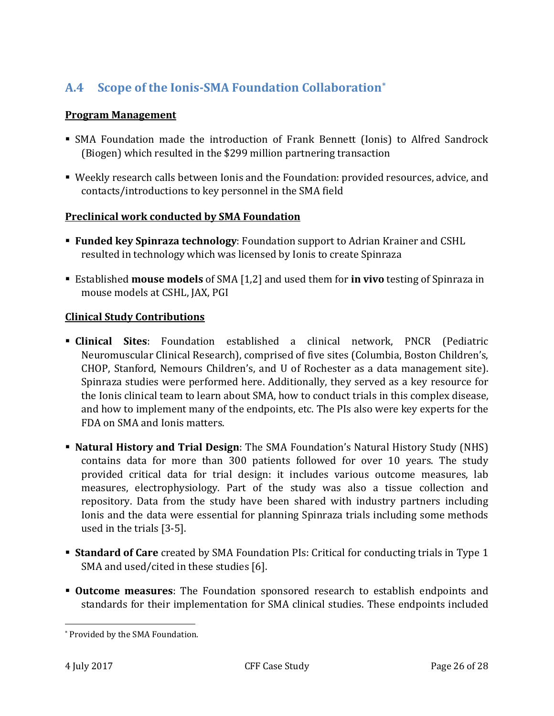# **A.4 Scope of the Ionis-SMA Foundation Collaboration[\\*](#page-26-0)**

### **Program Management**

- SMA Foundation made the introduction of Frank Bennett (Ionis) to Alfred Sandrock (Biogen) which resulted in the \$299 million partnering transaction
- Weekly research calls between Ionis and the Foundation: provided resources, advice, and contacts/introductions to key personnel in the SMA field

#### **Preclinical work conducted by SMA Foundation**

- **Funded key Spinraza technology**: Foundation support to Adrian Krainer and CSHL resulted in technology which was licensed by Ionis to create Spinraza
- Established **mouse models** of SMA [1,2] and used them for **in vivo** testing of Spinraza in mouse models at CSHL, JAX, PGI

#### **Clinical Study Contributions**

- **Clinical Sites**: Foundation established a clinical network, PNCR (Pediatric Neuromuscular Clinical Research), comprised of five sites (Columbia, Boston Children's, CHOP, Stanford, Nemours Children's, and U of Rochester as a data management site). Spinraza studies were performed here. Additionally, they served as a key resource for the Ionis clinical team to learn about SMA, how to conduct trials in this complex disease, and how to implement many of the endpoints, etc. The PIs also were key experts for the FDA on SMA and Ionis matters.
- **Natural History and Trial Design**: The SMA Foundation's Natural History Study (NHS) contains data for more than 300 patients followed for over 10 years. The study provided critical data for trial design: it includes various outcome measures, lab measures, electrophysiology. Part of the study was also a tissue collection and repository. Data from the study have been shared with industry partners including Ionis and the data were essential for planning Spinraza trials including some methods used in the trials [3-5].
- **Standard of Care** created by SMA Foundation PIs: Critical for conducting trials in Type 1 SMA and used/cited in these studies [6].
- **Outcome measures**: The Foundation sponsored research to establish endpoints and standards for their implementation for SMA clinical studies. These endpoints included

<span id="page-26-0"></span> <sup>\*</sup> Provided by the SMA Foundation.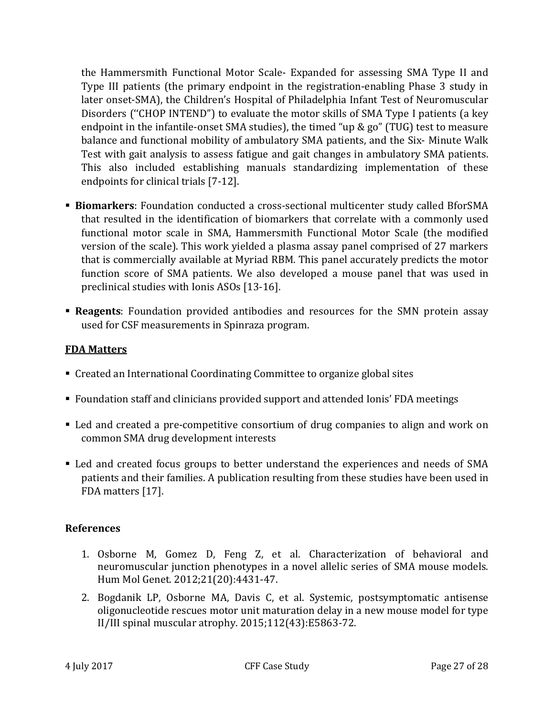the Hammersmith Functional Motor Scale- Expanded for assessing SMA Type II and Type III patients (the primary endpoint in the registration-enabling Phase 3 study in later onset-SMA), the Children's Hospital of Philadelphia Infant Test of Neuromuscular Disorders (''CHOP INTEND") to evaluate the motor skills of SMA Type I patients (a key endpoint in the infantile-onset SMA studies), the timed "up & go" (TUG) test to measure balance and functional mobility of ambulatory SMA patients, and the Six- Minute Walk Test with gait analysis to assess fatigue and gait changes in ambulatory SMA patients. This also included establishing manuals standardizing implementation of these endpoints for clinical trials [7-12].

- **Biomarkers**: Foundation conducted a cross-sectional multicenter study called BforSMA that resulted in the identification of biomarkers that correlate with a commonly used functional motor scale in SMA, Hammersmith Functional Motor Scale (the modified version of the scale). This work yielded a plasma assay panel comprised of 27 markers that is commercially available at Myriad RBM. This panel accurately predicts the motor function score of SMA patients. We also developed a mouse panel that was used in preclinical studies with Ionis ASOs [13-16].
- **Reagents**: Foundation provided antibodies and resources for the SMN protein assay used for CSF measurements in Spinraza program.

#### **FDA Matters**

- Created an International Coordinating Committee to organize global sites
- Foundation staff and clinicians provided support and attended Ionis' FDA meetings
- Led and created a pre-competitive consortium of drug companies to align and work on common SMA drug development interests
- Led and created focus groups to better understand the experiences and needs of SMA patients and their families. A publication resulting from these studies have been used in FDA matters [17].

#### **References**

- 1. Osborne M, Gomez D, Feng Z, et al. Characterization of behavioral and neuromuscular junction phenotypes in a novel allelic series of SMA mouse models. Hum Mol Genet. 2012;21(20):4431-47.
- 2. Bogdanik LP, Osborne MA, Davis C, et al. Systemic, postsymptomatic antisense oligonucleotide rescues motor unit maturation delay in a new mouse model for type II/III spinal muscular atrophy. 2015;112(43):E5863-72.